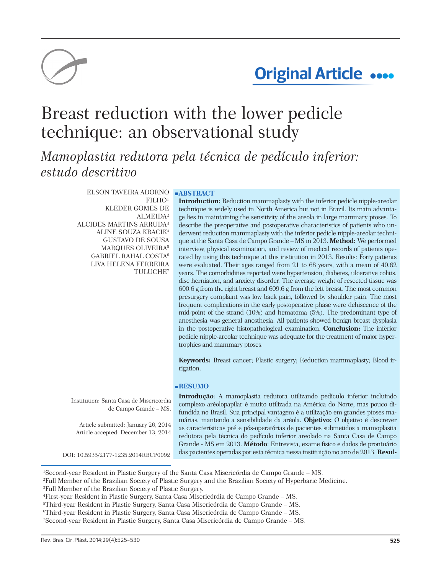

# **Original Article ....**

# Breast reduction with the lower pedicle technique: an observational study

*Mamoplastia redutora pela técnica de pedículo inferior: estudo descritivo* 

> **ELSON TAVEIRA ADORNO ABSTRACT** FILHO<sup>1</sup> KLEDER GOMES DE ALMEIDA² ALCIDES MARTINS ARRUDA³ ALINE SOUZA KRACIK4 GUSTAVO DE SOUSA MARQUES OLIVEIRA5 GABRIEL RAHAL COSTA6 LIVA HELENA FERREIRA TULUCHE7

**Introduction:** Reduction mammaplasty with the inferior pedicle nipple-areolar technique is widely used in North America but not in Brazil. Its main advantage lies in maintaining the sensitivity of the areola in large mammary ptoses. To describe the preoperative and postoperative characteristics of patients who underwent reduction mammaplasty with the inferior pedicle nipple-areolar technique at the Santa Casa de Campo Grande – MS in 2013. **Method:** We performed interview, physical examination, and review of medical records of patients operated by using this technique at this institution in 2013. Results: Forty patients were evaluated. Their ages ranged from 21 to 68 years, with a mean of 40.62 years. The comorbidities reported were hypertension, diabetes, ulcerative colitis, disc herniation, and anxiety disorder. The average weight of resected tissue was 600.6 g from the right breast and 609.6 g from the left breast. The most common presurgery complaint was low back pain, followed by shoulder pain. The most frequent complications in the early postoperative phase were dehiscence of the mid-point of the strand (10%) and hematoma (5%). The predominant type of anesthesia was general anesthesia. All patients showed benign breast dysplasia in the postoperative histopathological examination. **Conclusion:** The inferior pedicle nipple-areolar technique was adequate for the treatment of major hypertrophies and mammary ptoses.

**Keywords:** Breast cancer; Plastic surgery; Reduction mammaplasty; Blood irrigation.

# **RESUMO**

Institution: Santa Casa de Misericordia de Campo Grande – MS.

Article submitted: January 26, 2014 Article accepted: December 13, 2014

**Introdução**: A mamoplastia redutora utilizando pedículo inferior incluindo complexo aréolopapilar é muito utilizada na América do Norte, mas pouco difundida no Brasil. Sua principal vantagem é a utilização em grandes ptoses mamárias, mantendo a sensibilidade da aréola. **Objetivo:** O objetivo é descrever as características pré e pós-operatórias de pacientes submetidos a mamoplastia redutora pela técnica do pedículo inferior areolado na Santa Casa de Campo Grande - MS em 2013. **Método**: Entrevista, exame físico e dados de prontuário das pacientes operadas por esta técnica nessa instituição no ano de 2013. **Resul-** DOI: 10.5935/2177-1235.2014RBCP0092

<sup>1</sup> Second-year Resident in Plastic Surgery of the Santa Casa Misericórdia de Campo Grande – MS.

<sup>2</sup> Full Member of the Brazilian Society of Plastic Surgery and the Brazilian Society of Hyperbaric Medicine.

<sup>3</sup> Full Member of the Brazilian Society of Plastic Surgery.

<sup>4</sup> First-year Resident in Plastic Surgery, Santa Casa Misericórdia de Campo Grande – MS.

<sup>5</sup> Third-year Resident in Plastic Surgery, Santa Casa Misericórdia de Campo Grande – MS.

<sup>6</sup> Third-year Resident in Plastic Surgery, Santa Casa Misericórdia de Campo Grande – MS.

<sup>7</sup> Second-year Resident in Plastic Surgery, Santa Casa Misericórdia de Campo Grande – MS.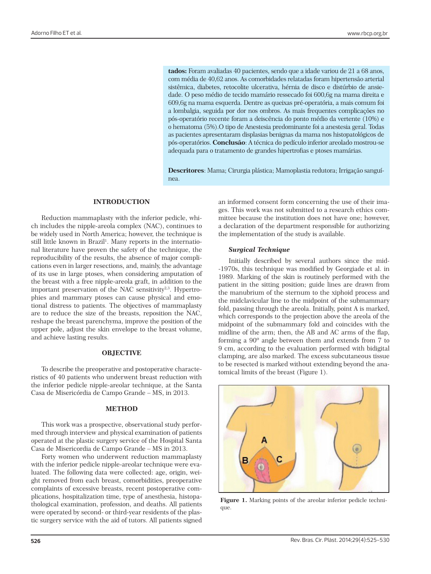**tados:** Foram avaliadas 40 pacientes, sendo que a idade variou de 21 a 68 anos, com média de 40,62 anos. As comorbidades relatadas foram hipertensão arterial sistêmica, diabetes, retocolite ulcerativa, hérnia de disco e distúrbio de ansiedade. O peso médio de tecido mamário ressecado foi 600,6g na mama direita e 609,6g na mama esquerda. Dentre as queixas pré-operatória, a mais comum foi a lombalgia, seguida por dor nos ombros. As mais frequentes complicações no pós-operatório recente foram a deiscência do ponto médio da vertente (10%) e o hematoma (5%).O tipo de Anestesia predominante foi a anestesia geral. Todas as pacientes apresentaram displasias benignas da mama nos histopatológicos de pós-operatórios. **Conclusão**: A técnica do pedículo inferior areolado mostrou-se adequada para o tratamento de grandes hipertrofias e ptoses mamárias.

**Descritores**: Mama; Cirurgia plástica; Mamoplastia redutora; Irrigação sanguínea.

## **INTRODUCTION**

Reduction mammaplasty with the inferior pedicle, which includes the nipple-areola complex (NAC), continues to be widely used in North America; however, the technique is still little known in Brazil<sup>1</sup>. Many reports in the international literature have proven the safety of the technique, the reproducibility of the results, the absence of major complications even in larger resections, and, mainly, the advantage of its use in large ptoses, when considering amputation of the breast with a free nipple-areola graft, in addition to the important preservation of the NAC sensitivity $2,3$ . Hypertrophies and mammary ptoses can cause physical and emotional distress to patients. The objectives of mammaplasty are to reduce the size of the breasts, reposition the NAC, reshape the breast parenchyma, improve the position of the upper pole, adjust the skin envelope to the breast volume, and achieve lasting results.

#### **OBJECTIVE**

To describe the preoperative and postoperative characteristics of 40 patients who underwent breast reduction with the inferior pedicle nipple-areolar technique, at the Santa Casa de Misericórdia de Campo Grande – MS, in 2013.

#### **METHOD**

This work was a prospective, observational study performed through interview and physical examination of patients operated at the plastic surgery service of the Hospital Santa Casa de Misericordia de Campo Grande – MS in 2013.

Forty women who underwent reduction mammaplasty with the inferior pedicle nipple-areolar technique were evaluated. The following data were collected: age, origin, weight removed from each breast, comorbidities, preoperative complaints of excessive breasts, recent postoperative complications, hospitalization time, type of anesthesia, histopathological examination, profession, and deaths. All patients were operated by second- or third-year residents of the plastic surgery service with the aid of tutors. All patients signed

an informed consent form concerning the use of their images. This work was not submitted to a research ethics committee because the institution does not have one; however, a declaration of the department responsible for authorizing the implementation of the study is available.

#### *Surgical Technique*

Initially described by several authors since the mid- -1970s, this technique was modified by Georgiade et al. in 1989. Marking of the skin is routinely performed with the patient in the sitting position; guide lines are drawn from the manubrium of the sternum to the xiphoid process and the midclavicular line to the midpoint of the submammary fold, passing through the areola. Initially, point A is marked, which corresponds to the projection above the areola of the midpoint of the submammary fold and coincides with the midline of the arm; then, the AB and AC arms of the flap, forming a 90º angle between them and extends from 7 to 9 cm, according to the evaluation performed with bidigital clamping, are also marked. The excess subcutaneous tissue to be resected is marked without extending beyond the anatomical limits of the breast (Figure 1).



Figure 1. Marking points of the areolar inferior pedicle technique.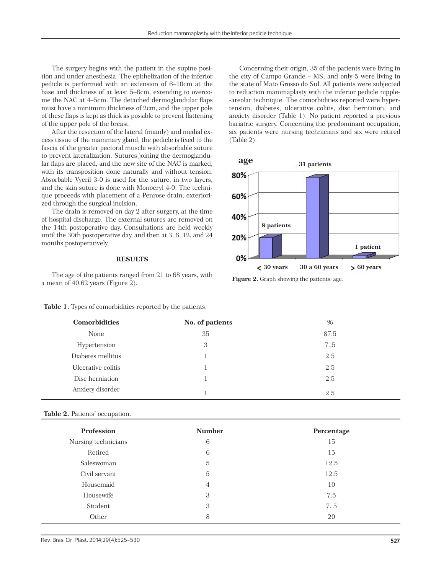The surgery begins with the patient in the supine position and under anesthesia. The epithelization of the inferior pedicle is performed with an extension of 6–10cm at the base and thickness of at least 5–6cm, extending to overcome the NAC at 4–5cm. The detached dermoglandular flaps must have a minimum thickness of 2cm, and the upper pole of these flaps is kept as thick as possible to prevent flattening of the upper pole of the breast.

After the resection of the lateral (mainly) and medial excess tissue of the mammary gland, the pedicle is fixed to the fascia of the greater pectoral muscle with absorbable suture to prevent lateralization. Sutures joining the dermoglandular flaps are placed, and the new site of the NAC is marked, with its transposition done naturally and without tension. Absorbable Vycril 3-0 is used for the suture, in two layers, and the skin suture is done with Monocryl 4-0. The technique proceeds with placement of a Penrose drain, exteriorized through the surgical incision.

The drain is removed on day 2 after surgery, at the time of hospital discharge. The external sutures are removed on the 14th postoperative day. Consultations are held weekly until the 30th postoperative day, and then at 3, 6, 12, and 24 months postoperatively.

### **RESULTS**

The age of the patients ranged from 21 to 68 years, with a mean of 40.62 years (Figure 2).<br> **Figure 2.** Graph showing the patients age.

Concerning their origin, 35 of the patients were living in the city of Campo Grande – MS, and only 5 were living in the state of Mato Grosso do Sul. All patients were subjected to reduction mammaplasty with the inferior pedicle nipple- -areolar technique. The comorbidities reported were hypertension, diabetes, ulcerative colitis, disc herniation, and anxiety disorder (Table 1). No patient reported a previous bariatric surgery. Concerning the predominant occupation, six patients were nursing technicians and six were retired (Table 2).



| <b>Comorbidities</b> | No. of patients | $\%$ |  |
|----------------------|-----------------|------|--|
| None                 | 35              | 87.5 |  |
| Hypertension         | 3               | 7.5  |  |
| Diabetes mellitus    |                 | 2.5  |  |
| Ulcerative colitis   |                 | 2.5  |  |
| Disc herniation      |                 | 2.5  |  |
| Anxiety disorder     |                 | 2.5  |  |

#### **Table 1.** Types of comorbidities reported by the patients.

#### **Table 2.** Patients' occupation.

| <b>Profession</b>   | <b>Number</b> | Percentage |
|---------------------|---------------|------------|
| Nursing technicians | 6             | 15         |
| Retired             | 6             | 15         |
| Saleswoman          | 5             | 12.5       |
| Civil servant       | 5             | 12.5       |
| Housemaid           | 4             | 10         |
| Housewife           | 3             | 7.5        |
| Student             | 3             | 7.5        |
| Other               | 8             | 20         |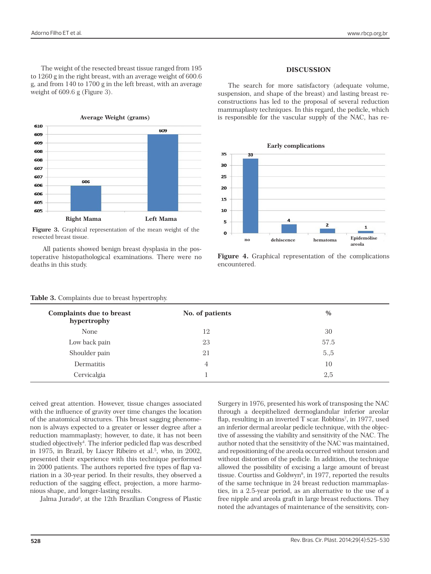The weight of the resected breast tissue ranged from 195 to 1260 g in the right breast, with an average weight of 600.6 g, and from 140 to 1700 g in the left breast, with an average weight of 609.6 g (Figure 3).



**Figure 3.** Graphical representation of the mean weight of the resected breast tissue.

All patients showed benign breast dysplasia in the postoperative histopathological examinations. There were no deaths in this study.

# **DISCUSSION**

The search for more satisfactory (adequate volume, suspension, and shape of the breast) and lasting breast reconstructions has led to the proposal of several reduction mammaplasty techniques. In this regard, the pedicle, which is responsible for the vascular supply of the NAC, has re-



**Figure 4.** Graphical representation of the complications encountered.

| <b>Complaints due to breast</b><br>hypertrophy | No. of patients | $\%$  |
|------------------------------------------------|-----------------|-------|
| None                                           | 12              | 30    |
| Low back pain                                  | 23              | 57.5  |
| Shoulder pain                                  | 21              | 5., 5 |
| Dermatitis                                     | 4               | 10    |
| Cervicalgia                                    |                 | 2,5   |

|  | Table 3. Complaints due to breast hypertrophy. |  |  |  |  |
|--|------------------------------------------------|--|--|--|--|
|--|------------------------------------------------|--|--|--|--|

ceived great attention. However, tissue changes associated with the influence of gravity over time changes the location of the anatomical structures. This breast sagging phenomenon is always expected to a greater or lesser degree after a reduction mammaplasty; however, to date, it has not been studied objectively<sup>4</sup>. The inferior pedicled flap was described in 1975, in Brazil, by Liacyr Ribeiro et al.<sup>5</sup>, who, in 2002, presented their experience with this technique performed in 2000 patients. The authors reported five types of flap variation in a 30-year period. In their results, they observed a reduction of the sagging effect, projection, a more harmonious shape, and longer-lasting results.

Jalma Jurado<sup>6</sup>, at the 12th Brazilian Congress of Plastic

Surgery in 1976, presented his work of transposing the NAC through a deepithelized dermoglandular inferior areolar flap, resulting in an inverted T scar. Robbins<sup>7</sup>, in 1977, used an inferior dermal areolar pedicle technique, with the objective of assessing the viability and sensitivity of the NAC. The author noted that the sensitivity of the NAC was maintained, and repositioning of the areola occurred without tension and without distortion of the pedicle. In addition, the technique allowed the possibility of excising a large amount of breast tissue. Courtiss and Goldwyn<sup>8</sup>, in 1977, reported the results of the same technique in 24 breast reduction mammaplasties, in a 2.5-year period, as an alternative to the use of a free nipple and areola graft in large breast reductions. They noted the advantages of maintenance of the sensitivity, con-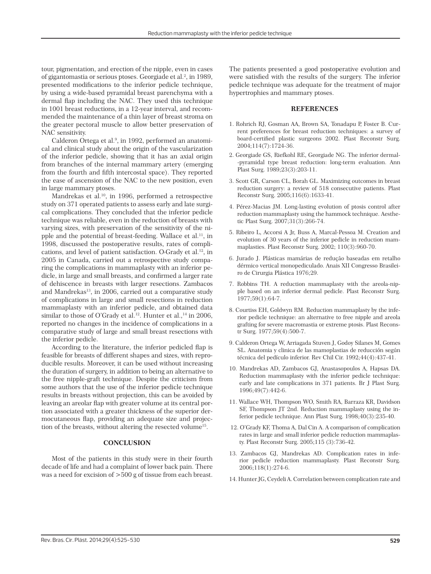tour, pigmentation, and erection of the nipple, even in cases of gigantomastia or serious ptoses. Georgiade et al.<sup>2</sup>, in 1989, presented modifications to the inferior pedicle technique, by using a wide-based pyramidal breast parenchyma with a dermal flap including the NAC. They used this technique in 1001 breast reductions, in a 12-year interval, and recommended the maintenance of a thin layer of breast stroma on the greater pectoral muscle to allow better preservation of NAC sensitivity.

Calderon Ortega et al.<sup>9</sup>, in 1992, performed an anatomical and clinical study about the origin of the vascularization of the inferior pedicle, showing that it has an axial origin from branches of the internal mammary artery (emerging from the fourth and fifth intercostal space). They reported the ease of ascension of the NAC to the new position, even in large mammary ptoses.

Mandrekas et al.10, in 1996, performed a retrospective study on 371 operated patients to assess early and late surgical complications. They concluded that the inferior pedicle technique was reliable, even in the reduction of breasts with varying sizes, with preservation of the sensitivity of the nipple and the potential of breast-feeding. Wallace et al.<sup>11</sup>, in 1998, discussed the postoperative results, rates of complications, and level of patient satisfaction. O›Grady et al.12, in 2005 in Canada, carried out a retrospective study comparing the complications in mammaplasty with an inferior pedicle, in large and small breasts, and confirmed a larger rate of dehiscence in breasts with larger resections. Zambacos and Mandrekas<sup>13</sup>, in 2006, carried out a comparative study of complications in large and small resections in reduction mammaplasty with an inferior pedicle, and obtained data similar to those of O'Grady et al.<sup>12</sup>. Hunter et al.,<sup>14</sup> in 2006, reported no changes in the incidence of complications in a comparative study of large and small breast resections with the inferior pedicle.

According to the literature, the inferior pedicled flap is feasible for breasts of different shapes and sizes, with reproducible results. Moreover, it can be used without increasing the duration of surgery, in addition to being an alternative to the free nipple-graft technique. Despite the criticism from some authors that the use of the inferior pedicle technique results in breasts without projection, this can be avoided by leaving an areolar flap with greater volume at its central portion associated with a greater thickness of the superior dermocutaneous flap, providing an adequate size and projection of the breasts, without altering the resected volume<sup>15</sup>.

### **CONCLUSION**

Most of the patients in this study were in their fourth decade of life and had a complaint of lower back pain. There was a need for excision of >500 g of tissue from each breast.

The patients presented a good postoperative evolution and were satisfied with the results of the surgery. The inferior pedicle technique was adequate for the treatment of major hypertrophies and mammary ptoses.

### **REFERENCES**

- 1. Rohrich RJ, Gosman AA, Brown SA, Tonadapu P, Foster B. Current preferences for breast reduction techniques: a survey of board-certified plastic surgeons 2002. Plast Reconstr Surg. 2004;114(7):1724-36.
- 2. Georgiade GS, Riefkohl RE, Georgiade NG. The inferior dermal- -pyramidal type breast reduction: long-term evaluation. Ann Plast Surg. 1989;23(3):203-11.
- 3. Scott GR, Carson CL, Borah GL. Maximizing outcomes in breast reduction surgery: a review of 518 consecutive patients. Plast Reconstr Surg. 2005;116(6):1633-41.
- 4. Pérez-Macias JM. Long-lasting evolution of ptosis control after reduction mammaplasty using the hammock technique. Aesthetic Plast Surg. 2007;31(3):266-74.
- 5. Ribeiro L, Accorsi A Jr, Buss A, Marcal-Pessoa M. Creation and evolution of 30 years of the inferior pedicle in reduction mammaplasties. Plast Reconstr Surg. 2002; 110(3):960-70.
- 6. Jurado J. Plásticas mamárias de redução baseadas em retalho dérmico vertical monopediculado. Anais XII Congresso Brasileiro de Cirurgia Plástica 1976;29.
- 7. Robbins TH. A reduction mammaplasty with the areola-nipple based on an inferior dermal pedicle. Plast Reconstr Surg. 1977;59(1):64-7.
- 8. Courtiss EH, Goldwyn RM. Reduction mammaplasty by the inferior pedicle technique: an alternative to free nipple and areola grafting for severe macromastia or extreme ptosis. Plast Reconstr Surg. 1977;59(4):500-7.
- 9. Calderon Ortega W, Arriagada Stuven J, Godoy Silanes M, Gomes SL. Anatomia y clinica de las mamoplastias de reducción según técnica del pedículo inferior. Rev Chil Cir. 1992;44(4):437-41.
- 10. Mandrekas AD, Zambacos GJ, Anastasopoulos A, Hapsas DA. Reduction mammaplasty with the inferior pedicle technique: early and late complications in 371 patients. Br J Plast Surg. 1996;49(7):442-6.
- 11. Wallace WH, Thompson WO, Smith RA, Barraza KR, Davidson SF, Thompson JT 2nd. Reduction mammaplasty using the inferior pedicle technique. Ann Plast Surg. 1998;40(3):235-40.
- 12. O'Grady KF, Thoma A, Dal Cin A. A comparison of complication rates in large and small inferior pedicle reduction mammaplasty. Plast Reconstr Surg. 2005;115 (3):736-42.
- 13. Zambacos GJ, Mandrekas AD. Complication rates in inferior pedicle reduction mammaplasty. Plast Reconstr Surg. 2006;118(1):274-6.
- 14. Hunter JG, Ceydeli A. Correlation between complication rate and